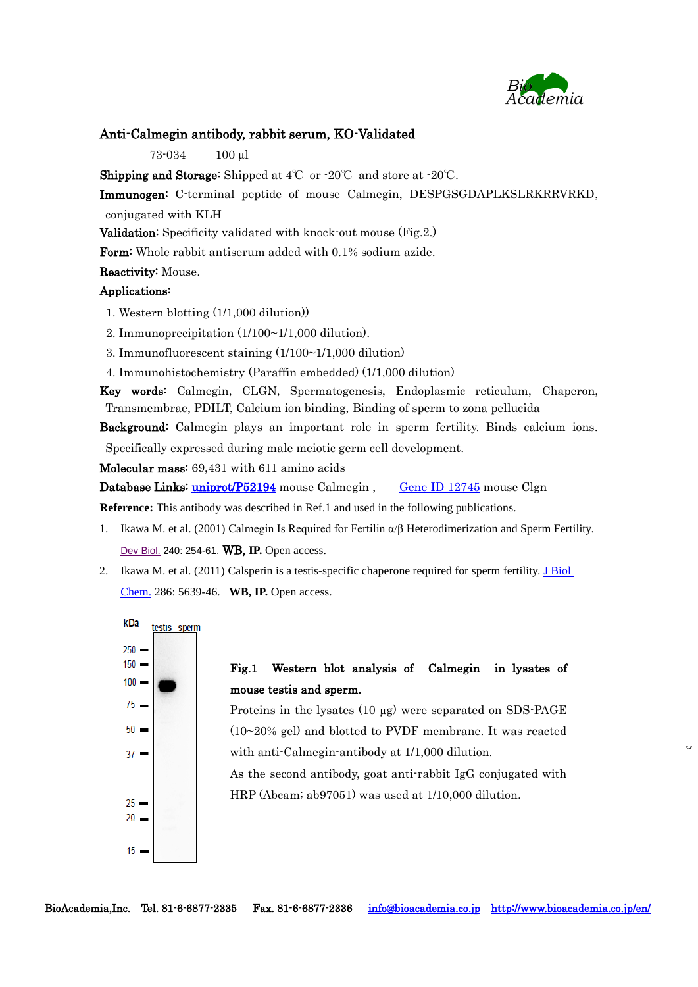

 $\overline{a}$ 

## Anti-Calmegin antibody, rabbit serum, KO-Validated

73-034 100 µl

**Shipping and Storage:** Shipped at  $4^{\circ}\text{C}$  or  $\cdot 20^{\circ}\text{C}$  and store at  $\cdot 20^{\circ}\text{C}$ .

Immunogen: C-terminal peptide of mouse Calmegin, DESPGSGDAPLKSLRKRRVRKD, conjugated with KLH

Validation: Specificity validated with knock-out mouse (Fig.2.)

Form: Whole rabbit antiserum added with 0.1% sodium azide.

## Reactivity: Mouse.

## Applications:

1. Western blotting (1/1,000 dilution))

2. Immunoprecipitation (1/100~1/1,000 dilution).

3. Immunofluorescent staining (1/100~1/1,000 dilution)

4. Immunohistochemistry (Paraffin embedded) (1/1,000 dilution)

Key words: Calmegin, CLGN, Spermatogenesis, Endoplasmic reticulum, Chaperon, Transmembrae, PDILT, Calcium ion binding, [Binding of sperm to zona pellucida](http://www.ebi.ac.uk/QuickGO/GTerm?id=GO:0007339)

Background: Calmegin plays an important role in sperm fertility. Binds calcium ions.

Specifically expressed during male meiotic germ cell development.

Molecular mass: 69,431 with 611 amino acids

Database Links: [uniprot/P52194](http://www.uniprot.org/uniprot/P52194) mouse Calmegin, [Gene ID 12745](http://www.ncbi.nlm.nih.gov/gene/12745) mouse Clgn

**Reference:** This antibody was described in Ref.1 and used in the following publications.

- 1. Ikawa M. et al. (2001) Calmegin Is Required for Fertilin α/β Heterodimerization and Sperm Fertility. [Dev Biol.](http://www.ncbi.nlm.nih.gov/pubmed/11784061) 240: 254-61. **WB, IP.** Open access.
- 2. Ikawa M. et al. (2011) Calsperin is a testis-specific chaperone required for sperm fertility. [J Biol](http://www.ncbi.nlm.nih.gov/pubmed/21131354)  [Chem.](http://www.ncbi.nlm.nih.gov/pubmed/21131354) 286: 5639-46. **WB, IP.** Open access.



## Fig.1 Western blot analysis of Calmegin in lysates of mouse testis and sperm.

Proteins in the lysates (10 µg) were separated on SDS-PAGE (10~20% gel) and blotted to PVDF membrane. It was reacted with anti-Calmegin-antibody at 1/1,000 dilution.

As the second antibody, goat anti-rabbit IgG conjugated with HRP (Abcam; ab97051) was used at 1/10,000 dilution.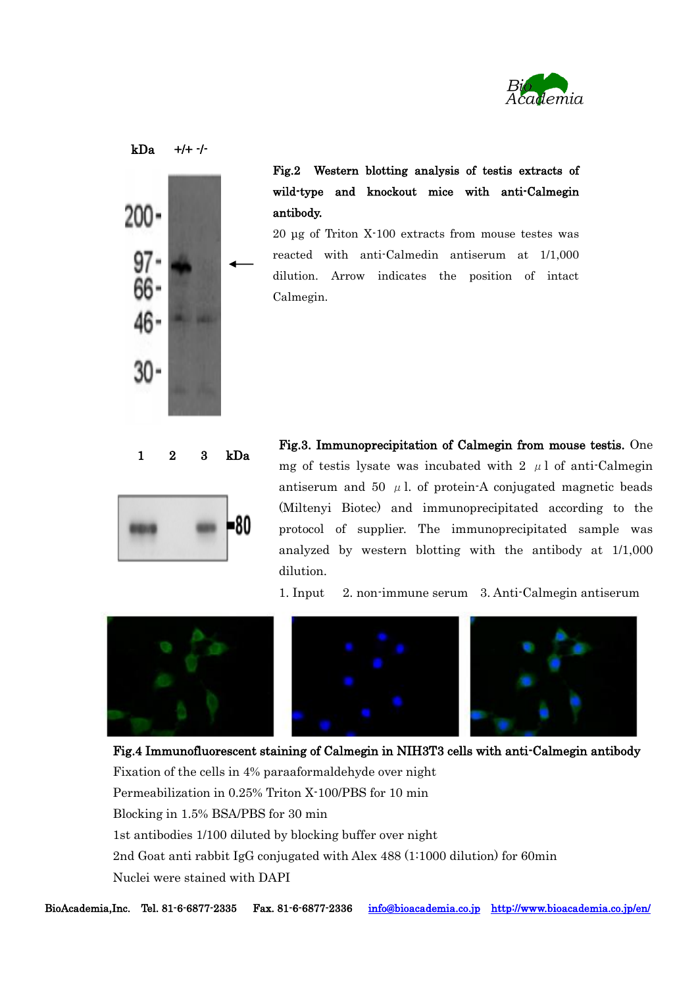



Fig.2 Western blotting analysis of testis extracts of wild-type and knockout mice with anti-Calmegin antibody.

20 μg of Triton X-100 extracts from mouse testes was reacted with anti-Calmedin antiserum at 1/1,000 dilution. Arrow indicates the position of intact Calmegin.



Fig.3. Immunoprecipitation of Calmegin from mouse testis. One mg of testis lysate was incubated with 2  $\mu$ l of anti-Calmegin antiserum and 50  $\mu$  l. of protein-A conjugated magnetic beads (Miltenyi Biotec) and immunoprecipitated according to the protocol of supplier. The immunoprecipitated sample was analyzed by western blotting with the antibody at 1/1,000 dilution.

1. Input 2. non-immune serum 3. Anti-Calmegin antiserum



Fig.4 Immunofluorescent staining of Calmegin in NIH3T3 cells with anti-Calmegin antibody Fixation of the cells in 4% paraaformaldehyde over night Permeabilization in 0.25% Triton X-100/PBS for 10 min Blocking in 1.5% BSA/PBS for 30 min 1st antibodies 1/100 diluted by blocking buffer over night 2nd Goat anti rabbit IgG conjugated with Alex 488 (1:1000 dilution) for 60min Nuclei were stained with DAPI

[info@bioacademia.co.jp](mailto:info@bioacademia.co.jp) <http://www.bioacademia.co.jp/en/> BioAcademia.Inc. Tel. 81-6-6877-2335 Fax. 81-6-6877-2336